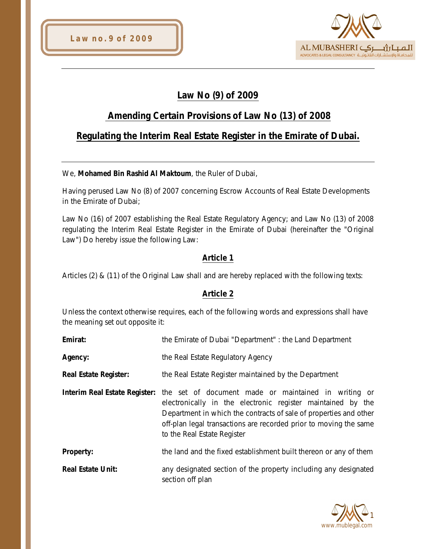

# **Law No (9) of 2009**

## **Amending Certain Provisions of Law No (13) of 2008**

## **Regulating the Interim Real Estate Register in the Emirate of Dubai.**

We, **Mohamed Bin Rashid Al Maktoum**, the Ruler of Dubai,

Having perused Law No (8) of 2007 concerning Escrow Accounts of Real Estate Developments in the Emirate of Dubai;

Law No (16) of 2007 establishing the Real Estate Regulatory Agency; and Law No (13) of 2008 regulating the Interim Real Estate Register in the Emirate of Dubai (hereinafter the "Original Law") Do hereby issue the following Law:

### **Article 1**

Articles (2) & (11) of the Original Law shall and are hereby replaced with the following texts:

#### **Article 2**

Unless the context otherwise requires, each of the following words and expressions shall have the meaning set out opposite it:

| Emirat:                      | the Emirate of Dubai "Department" : the Land Department                                                                                                                                                                                                                                                                           |
|------------------------------|-----------------------------------------------------------------------------------------------------------------------------------------------------------------------------------------------------------------------------------------------------------------------------------------------------------------------------------|
| Agency:                      | the Real Estate Regulatory Agency                                                                                                                                                                                                                                                                                                 |
| <b>Real Estate Register:</b> | the Real Estate Register maintained by the Department                                                                                                                                                                                                                                                                             |
|                              | <b>Interim Real Estate Register:</b> the set of document made or maintained in writing or<br>electronically in the electronic register maintained by the<br>Department in which the contracts of sale of properties and other<br>off-plan legal transactions are recorded prior to moving the same<br>to the Real Estate Register |
| <b>Property:</b>             | the land and the fixed establishment built thereon or any of them                                                                                                                                                                                                                                                                 |
| <b>Real Estate Unit:</b>     | any designated section of the property including any designated<br>section off plan                                                                                                                                                                                                                                               |

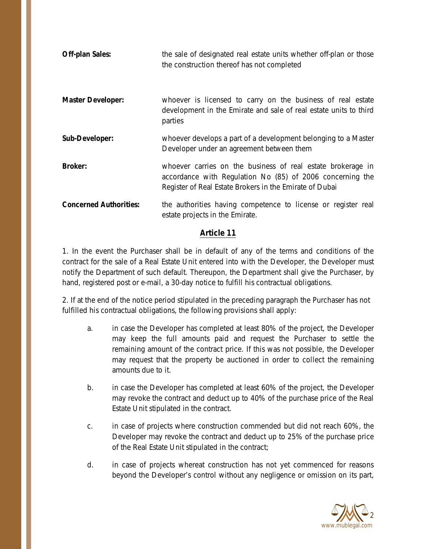| <b>Off-plan Sales:</b>        | the sale of designated real estate units whether off-plan or those<br>the construction thereof has not completed                                                                    |
|-------------------------------|-------------------------------------------------------------------------------------------------------------------------------------------------------------------------------------|
| <b>Master Developer:</b>      | whoever is licensed to carry on the business of real estate<br>development in the Emirate and sale of real estate units to third<br>parties                                         |
| Sub-Developer:                | whoever develops a part of a development belonging to a Master<br>Developer under an agreement between them                                                                         |
| <b>Broker:</b>                | whoever carries on the business of real estate brokerage in<br>accordance with Regulation No (85) of 2006 concerning the<br>Register of Real Estate Brokers in the Emirate of Dubai |
| <b>Concerned Authorities:</b> | the authorities having competence to license or register real<br>estate projects in the Emirate.                                                                                    |

#### **Article 11**

1. In the event the Purchaser shall be in default of any of the terms and conditions of the contract for the sale of a Real Estate Unit entered into with the Developer, the Developer must notify the Department of such default. Thereupon, the Department shall give the Purchaser, by hand, registered post or e-mail, a 30-day notice to fulfill his contractual obligations.

2. If at the end of the notice period stipulated in the preceding paragraph the Purchaser has not fulfilled his contractual obligations, the following provisions shall apply:

- a. in case the Developer has completed at least 80% of the project, the Developer may keep the full amounts paid and request the Purchaser to settle the remaining amount of the contract price. If this was not possible, the Developer may request that the property be auctioned in order to collect the remaining amounts due to it.
- b. in case the Developer has completed at least 60% of the project, the Developer may revoke the contract and deduct up to 40% of the purchase price of the Real Estate Unit stipulated in the contract.
- c. in case of projects where construction commended but did not reach 60%, the Developer may revoke the contract and deduct up to 25% of the purchase price of the Real Estate Unit stipulated in the contract;
- d. in case of projects whereat construction has not yet commenced for reasons beyond the Developer's control without any negligence or omission on its part,